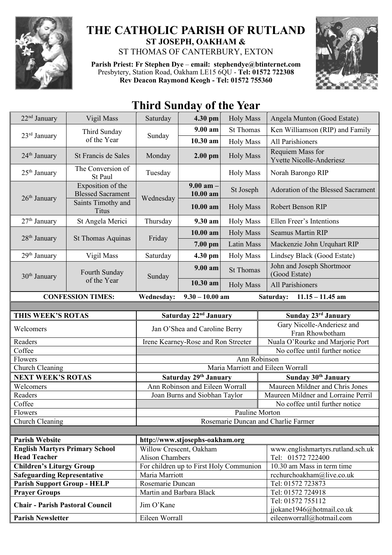

## **THE CATHOLIC PARISH OF RUTLAND ST JOSEPH, OAKHAM &**  ST THOMAS OF CANTERBURY, EXTON

**Parish Priest: Fr Stephen Dye** – **[email: stephendye@btinternet.com](mailto:email:%20%20stephendye@btinternet.com)** Presbytery, Station Road, Oakham LE15 6QU - **Tel: 01572 722308 Rev Deacon Raymond Keogh - Tel: 01572 755360**



## **Third Sunday of the Year**

| 22 <sup>nd</sup> January                                     | Vigil Mass                                                                          | Saturday                                          | 4.30 pm                                 | <b>Holy Mass</b> | Angela Munton (Good Estate)                                                 |  |
|--------------------------------------------------------------|-------------------------------------------------------------------------------------|---------------------------------------------------|-----------------------------------------|------------------|-----------------------------------------------------------------------------|--|
| 23 <sup>rd</sup> January                                     | Third Sunday<br>of the Year                                                         | Sunday                                            | 9.00 am                                 | <b>St Thomas</b> | Ken Williamson (RIP) and Family                                             |  |
|                                                              |                                                                                     |                                                   | 10.30 am                                | <b>Holy Mass</b> | All Parishioners                                                            |  |
| 24 <sup>th</sup> January                                     | St Francis de Sales                                                                 | Monday                                            | $2.00$ pm                               | <b>Holy Mass</b> | Requiem Mass for<br><b>Yvette Nicolle-Anderiesz</b>                         |  |
| $25th$ January                                               | The Conversion of<br>St Paul                                                        | Tuesday                                           |                                         | <b>Holy Mass</b> | Norah Barongo RIP                                                           |  |
| 26 <sup>th</sup> January                                     | Exposition of the<br><b>Blessed Sacrament</b><br>Saints Timothy and<br><b>Titus</b> | Wednesday                                         | $9.00$ am $-$<br>10.00 am               | St Joseph        | Adoration of the Blessed Sacrament                                          |  |
|                                                              |                                                                                     |                                                   | 10.00 am                                | <b>Holy Mass</b> | <b>Robert Benson RIP</b>                                                    |  |
| $27th$ January                                               | St Angela Merici                                                                    | Thursday                                          | 9.30 am                                 | <b>Holy Mass</b> | Ellen Freer's Intentions                                                    |  |
| $28th$ January                                               | St Thomas Aquinas                                                                   | Friday                                            | 10.00 am                                | <b>Holy Mass</b> | <b>Seamus Martin RIP</b>                                                    |  |
|                                                              |                                                                                     |                                                   | 7.00 pm                                 | Latin Mass       | Mackenzie John Urquhart RIP                                                 |  |
| 29 <sup>th</sup> January                                     | Vigil Mass                                                                          | Saturday                                          | 4.30 pm                                 | <b>Holy Mass</b> | Lindsey Black (Good Estate)                                                 |  |
| $30th$ January                                               | Fourth Sunday<br>of the Year                                                        | Sunday                                            | $9.00 a$ m                              | <b>St Thomas</b> | John and Joseph Shortmoor<br>(Good Estate)                                  |  |
|                                                              |                                                                                     |                                                   | 10.30 am                                | <b>Holy Mass</b> | <b>All Parishioners</b>                                                     |  |
| <b>CONFESSION TIMES:</b>                                     |                                                                                     | <b>Wednesday:</b>                                 | $9.30 - 10.00$ am                       |                  | Saturday:<br>$11.15 - 11.45$ am                                             |  |
|                                                              |                                                                                     |                                                   |                                         |                  |                                                                             |  |
| THIS WEEK'S ROTAS                                            |                                                                                     | Saturday 22 <sup>nd</sup> January                 |                                         |                  | Sunday 23rd January                                                         |  |
| Welcomers                                                    |                                                                                     | Jan O'Shea and Caroline Berry                     |                                         |                  | Gary Nicolle-Anderiesz and<br>Fran Rhowbotham                               |  |
| Readers                                                      |                                                                                     | Irene Kearney-Rose and Ron Streeter               |                                         |                  | Nuala O'Rourke and Marjorie Port                                            |  |
| Coffee                                                       |                                                                                     | No coffee until further notice                    |                                         |                  |                                                                             |  |
| Flowers                                                      |                                                                                     | Ann Robinson<br>Maria Marriott and Eileen Worrall |                                         |                  |                                                                             |  |
| Church Cleaning                                              |                                                                                     | Saturday 29th January                             |                                         |                  | Sunday 30th January                                                         |  |
| <b>NEXT WEEK'S ROTAS</b><br>Welcomers                        |                                                                                     | Ann Robinson and Eileen Worrall                   |                                         |                  | Maureen Mildner and Chris Jones                                             |  |
| Readers                                                      |                                                                                     | Joan Burns and Siobhan Taylor                     |                                         |                  | Maureen Mildner and Lorraine Perril                                         |  |
| Coffee                                                       |                                                                                     |                                                   |                                         |                  | No coffee until further notice                                              |  |
| Flowers                                                      |                                                                                     | Pauline Morton                                    |                                         |                  |                                                                             |  |
| Church Cleaning                                              |                                                                                     | Rosemarie Duncan and Charlie Farmer               |                                         |                  |                                                                             |  |
|                                                              |                                                                                     |                                                   |                                         |                  |                                                                             |  |
| <b>Parish Website</b><br>http://www.stjosephs-oakham.org     |                                                                                     |                                                   |                                         |                  |                                                                             |  |
| <b>English Martyrs Primary School</b><br><b>Head Teacher</b> |                                                                                     | Willow Crescent, Oakham<br><b>Alison Chambers</b> |                                         |                  | www.englishmartyrs.rutland.sch.uk<br>Tel: 01572 722400                      |  |
| <b>Children's Liturgy Group</b>                              |                                                                                     |                                                   |                                         |                  |                                                                             |  |
|                                                              |                                                                                     |                                                   | For children up to First Holy Communion |                  | 10.30 am Mass in term time                                                  |  |
| <b>Safeguarding Representative</b>                           |                                                                                     | Maria Marriott                                    |                                         |                  | rcchurchoakham@live.co.uk                                                   |  |
| <b>Parish Support Group - HELP</b>                           |                                                                                     | Rosemarie Duncan                                  |                                         |                  | Tel: 01572 723873                                                           |  |
| <b>Prayer Groups</b>                                         |                                                                                     | Martin and Barbara Black                          |                                         |                  | Tel: 01572 724918                                                           |  |
| <b>Chair - Parish Pastoral Council</b>                       |                                                                                     | Jim O'Kane                                        |                                         |                  | Tel: 01572 755112<br>jjokane1946@hotmail.co.uk<br>eileenworrall@hotmail.com |  |